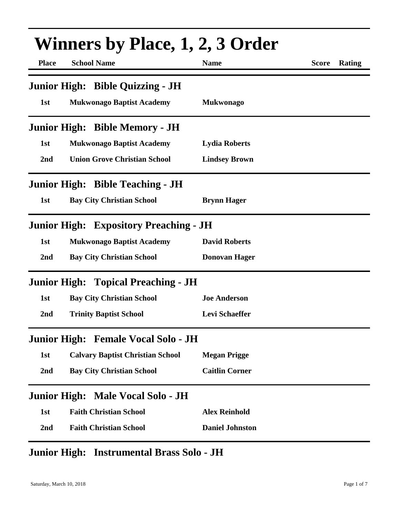| <b>Winners by Place, 1, 2, 3 Order</b> |                                               |                        |                        |  |
|----------------------------------------|-----------------------------------------------|------------------------|------------------------|--|
| <b>Place</b>                           | <b>School Name</b>                            | <b>Name</b>            | <b>Score</b><br>Rating |  |
|                                        | Junior High: Bible Quizzing - JH              |                        |                        |  |
| 1st                                    | <b>Mukwonago Baptist Academy</b>              | <b>Mukwonago</b>       |                        |  |
|                                        | Junior High: Bible Memory - JH                |                        |                        |  |
| 1st                                    | <b>Mukwonago Baptist Academy</b>              | <b>Lydia Roberts</b>   |                        |  |
| 2nd                                    | <b>Union Grove Christian School</b>           | <b>Lindsey Brown</b>   |                        |  |
|                                        | <b>Junior High: Bible Teaching - JH</b>       |                        |                        |  |
| 1st                                    | <b>Bay City Christian School</b>              | <b>Brynn Hager</b>     |                        |  |
|                                        | <b>Junior High: Expository Preaching - JH</b> |                        |                        |  |
| 1st                                    | <b>Mukwonago Baptist Academy</b>              | <b>David Roberts</b>   |                        |  |
| 2nd                                    | <b>Bay City Christian School</b>              | <b>Donovan Hager</b>   |                        |  |
|                                        | <b>Junior High: Topical Preaching - JH</b>    |                        |                        |  |
| 1st                                    | <b>Bay City Christian School</b>              | <b>Joe Anderson</b>    |                        |  |
| 2nd                                    | <b>Trinity Baptist School</b>                 | <b>Levi Schaeffer</b>  |                        |  |
|                                        | Junior High: Female Vocal Solo - JH           |                        |                        |  |
| 1st                                    | <b>Calvary Baptist Christian School</b>       | <b>Megan Prigge</b>    |                        |  |
| 2nd                                    | <b>Bay City Christian School</b>              | <b>Caitlin Corner</b>  |                        |  |
|                                        | Junior High: Male Vocal Solo - JH             |                        |                        |  |
| 1st                                    | <b>Faith Christian School</b>                 | <b>Alex Reinhold</b>   |                        |  |
| 2nd                                    | <b>Faith Christian School</b>                 | <b>Daniel Johnston</b> |                        |  |

## **Junior High: Instrumental Brass Solo - JH**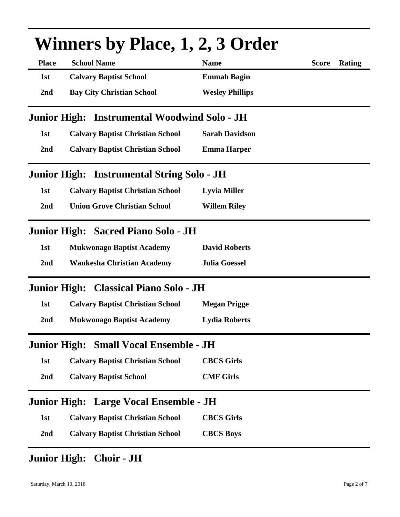| <b>Winners by Place, 1, 2, 3 Order</b> |                                              |                        |              |        |
|----------------------------------------|----------------------------------------------|------------------------|--------------|--------|
| <b>Place</b>                           | <b>School Name</b>                           | <b>Name</b>            | <b>Score</b> | Rating |
| 1st                                    | <b>Calvary Baptist School</b>                | <b>Emmah Bagin</b>     |              |        |
| 2nd                                    | <b>Bay City Christian School</b>             | <b>Wesley Phillips</b> |              |        |
|                                        | Junior High: Instrumental Woodwind Solo - JH |                        |              |        |
| 1st                                    | <b>Calvary Baptist Christian School</b>      | <b>Sarah Davidson</b>  |              |        |
| 2nd                                    | <b>Calvary Baptist Christian School</b>      | <b>Emma Harper</b>     |              |        |
|                                        | Junior High: Instrumental String Solo - JH   |                        |              |        |
| 1st                                    | <b>Calvary Baptist Christian School</b>      | <b>Lyvia Miller</b>    |              |        |
| 2nd                                    | <b>Union Grove Christian School</b>          | <b>Willem Riley</b>    |              |        |
|                                        | Junior High: Sacred Piano Solo - JH          |                        |              |        |
| 1st                                    | <b>Mukwonago Baptist Academy</b>             | <b>David Roberts</b>   |              |        |
| 2nd                                    | <b>Waukesha Christian Academy</b>            | <b>Julia Goessel</b>   |              |        |
|                                        | Junior High: Classical Piano Solo - JH       |                        |              |        |
| 1st                                    | <b>Calvary Baptist Christian School</b>      | <b>Megan Prigge</b>    |              |        |
| 2nd                                    | <b>Mukwonago Baptist Academy</b>             | <b>Lydia Roberts</b>   |              |        |
|                                        | Junior High: Small Vocal Ensemble - JH       |                        |              |        |
| 1st                                    | <b>Calvary Baptist Christian School</b>      | <b>CBCS Girls</b>      |              |        |
| 2nd                                    | <b>Calvary Baptist School</b>                | <b>CMF Girls</b>       |              |        |
|                                        | Junior High: Large Vocal Ensemble - JH       |                        |              |        |
| 1st                                    | <b>Calvary Baptist Christian School</b>      | <b>CBCS Girls</b>      |              |        |
| 2nd                                    | <b>Calvary Baptist Christian School</b>      | <b>CBCS Boys</b>       |              |        |

## **Junior High: Choir - JH**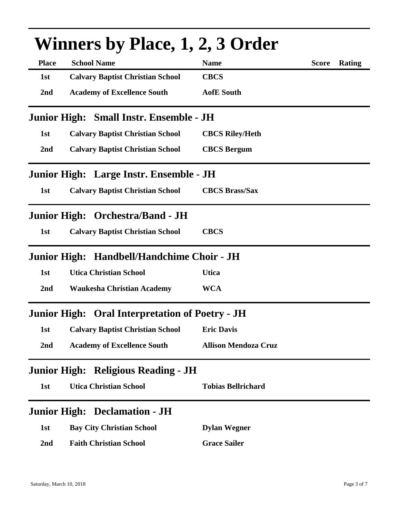| <b>Winners by Place, 1, 2, 3 Order</b> |                                                    |                             |              |        |  |
|----------------------------------------|----------------------------------------------------|-----------------------------|--------------|--------|--|
| <b>Place</b>                           | <b>School Name</b>                                 | <b>Name</b>                 | <b>Score</b> | Rating |  |
| 1st                                    | <b>Calvary Baptist Christian School</b>            | <b>CBCS</b>                 |              |        |  |
| 2 <sub>nd</sub>                        | <b>Academy of Excellence South</b>                 | <b>AofE</b> South           |              |        |  |
|                                        | Junior High: Small Instr. Ensemble - JH            |                             |              |        |  |
| 1st                                    | <b>Calvary Baptist Christian School</b>            | <b>CBCS Riley/Heth</b>      |              |        |  |
| 2nd                                    | <b>Calvary Baptist Christian School</b>            | <b>CBCS</b> Bergum          |              |        |  |
|                                        | Junior High: Large Instr. Ensemble - JH            |                             |              |        |  |
| 1st                                    | <b>Calvary Baptist Christian School</b>            | <b>CBCS Brass/Sax</b>       |              |        |  |
|                                        | Junior High: Orchestra/Band - JH                   |                             |              |        |  |
| 1st                                    | <b>Calvary Baptist Christian School</b>            | <b>CBCS</b>                 |              |        |  |
|                                        | Junior High: Handbell/Handchime Choir - JH         |                             |              |        |  |
| 1st                                    | <b>Utica Christian School</b>                      | <b>Utica</b>                |              |        |  |
| 2nd                                    | <b>Waukesha Christian Academy</b>                  | <b>WCA</b>                  |              |        |  |
| <b>Junior High:</b>                    | <b>Oral Interpretation of Poetry - JH</b>          |                             |              |        |  |
| 1st                                    | <b>Calvary Baptist Christian School Eric Davis</b> |                             |              |        |  |
| 2nd                                    | <b>Academy of Excellence South</b>                 | <b>Allison Mendoza Cruz</b> |              |        |  |
|                                        | Junior High: Religious Reading - JH                |                             |              |        |  |
| 1st                                    | <b>Utica Christian School</b>                      | <b>Tobias Bellrichard</b>   |              |        |  |
|                                        | <b>Junior High: Declamation - JH</b>               |                             |              |        |  |
| 1st                                    | <b>Bay City Christian School</b>                   | <b>Dylan Wegner</b>         |              |        |  |
| 2 <sub>nd</sub>                        | <b>Faith Christian School</b>                      | <b>Grace Sailer</b>         |              |        |  |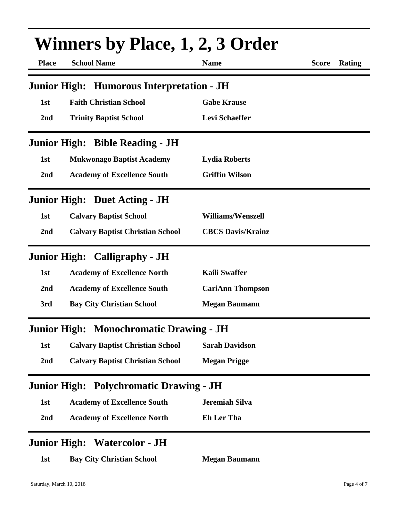| <b>Winners by Place, 1, 2, 3 Order</b> |                                                |                          |              |        |
|----------------------------------------|------------------------------------------------|--------------------------|--------------|--------|
| <b>Place</b>                           | <b>School Name</b>                             | <b>Name</b>              | <b>Score</b> | Rating |
|                                        | Junior High: Humorous Interpretation - JH      |                          |              |        |
| 1st                                    | <b>Faith Christian School</b>                  | <b>Gabe Krause</b>       |              |        |
| 2nd                                    | <b>Trinity Baptist School</b>                  | <b>Levi Schaeffer</b>    |              |        |
|                                        | <b>Junior High: Bible Reading - JH</b>         |                          |              |        |
| 1st                                    | <b>Mukwonago Baptist Academy</b>               | <b>Lydia Roberts</b>     |              |        |
| 2nd                                    | <b>Academy of Excellence South</b>             | <b>Griffin Wilson</b>    |              |        |
|                                        | <b>Junior High: Duet Acting - JH</b>           |                          |              |        |
| 1st                                    | <b>Calvary Baptist School</b>                  | <b>Williams/Wenszell</b> |              |        |
| 2nd                                    | <b>Calvary Baptist Christian School</b>        | <b>CBCS Davis/Krainz</b> |              |        |
|                                        | <b>Junior High: Calligraphy - JH</b>           |                          |              |        |
| 1st                                    | <b>Academy of Excellence North</b>             | <b>Kaili Swaffer</b>     |              |        |
| 2nd                                    | <b>Academy of Excellence South</b>             | <b>CariAnn Thompson</b>  |              |        |
| 3rd                                    | <b>Bay City Christian School</b>               | <b>Megan Baumann</b>     |              |        |
|                                        | Junior High: Monochromatic Drawing - JH        |                          |              |        |
| 1st                                    | <b>Calvary Baptist Christian School</b>        | <b>Sarah Davidson</b>    |              |        |
| 2nd                                    | <b>Calvary Baptist Christian School</b>        | <b>Megan Prigge</b>      |              |        |
|                                        | <b>Junior High: Polychromatic Drawing - JH</b> |                          |              |        |
| 1st                                    | <b>Academy of Excellence South</b>             | <b>Jeremiah Silva</b>    |              |        |
| 2nd                                    | <b>Academy of Excellence North</b>             | <b>Eh Ler Tha</b>        |              |        |
|                                        | <b>Junior High: Watercolor - JH</b>            |                          |              |        |
| 1st                                    | <b>Bay City Christian School</b>               | <b>Megan Baumann</b>     |              |        |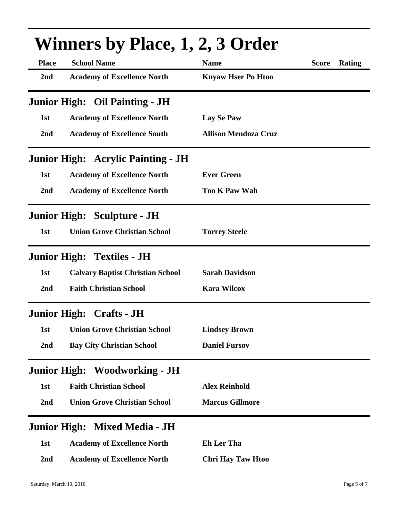| <b>Winners by Place, 1, 2, 3 Order</b> |                                           |                             |              |        |
|----------------------------------------|-------------------------------------------|-----------------------------|--------------|--------|
| <b>Place</b>                           | <b>School Name</b>                        | <b>Name</b>                 | <b>Score</b> | Rating |
| 2nd                                    | <b>Academy of Excellence North</b>        | <b>Knyaw Hser Po Htoo</b>   |              |        |
|                                        | <b>Junior High: Oil Painting - JH</b>     |                             |              |        |
| 1st                                    | <b>Academy of Excellence North</b>        | <b>Lay Se Paw</b>           |              |        |
| 2nd                                    | <b>Academy of Excellence South</b>        | <b>Allison Mendoza Cruz</b> |              |        |
|                                        | <b>Junior High: Acrylic Painting - JH</b> |                             |              |        |
| 1st                                    | <b>Academy of Excellence North</b>        | <b>Ever Green</b>           |              |        |
| 2nd                                    | <b>Academy of Excellence North</b>        | <b>Too K Paw Wah</b>        |              |        |
|                                        | <b>Junior High: Sculpture - JH</b>        |                             |              |        |
| 1st                                    | <b>Union Grove Christian School</b>       | <b>Torrey Steele</b>        |              |        |
|                                        | <b>Junior High: Textiles - JH</b>         |                             |              |        |
| 1st                                    | <b>Calvary Baptist Christian School</b>   | <b>Sarah Davidson</b>       |              |        |
| 2nd                                    | <b>Faith Christian School</b>             | <b>Kara Wilcox</b>          |              |        |
|                                        | <b>Junior High: Crafts - JH</b>           |                             |              |        |
|                                        | 1st Union Grove Christian School          | <b>Lindsey Brown</b>        |              |        |
| 2nd                                    | <b>Bay City Christian School</b>          | <b>Daniel Fursov</b>        |              |        |
|                                        | <b>Junior High: Woodworking - JH</b>      |                             |              |        |
| 1st                                    | <b>Faith Christian School</b>             | <b>Alex Reinhold</b>        |              |        |
| 2nd                                    | <b>Union Grove Christian School</b>       | <b>Marcus Gillmore</b>      |              |        |
|                                        | Junior High: Mixed Media - JH             |                             |              |        |
| 1st                                    | <b>Academy of Excellence North</b>        | <b>Eh Ler Tha</b>           |              |        |
| 2nd                                    | <b>Academy of Excellence North</b>        | <b>Chri Hay Taw Htoo</b>    |              |        |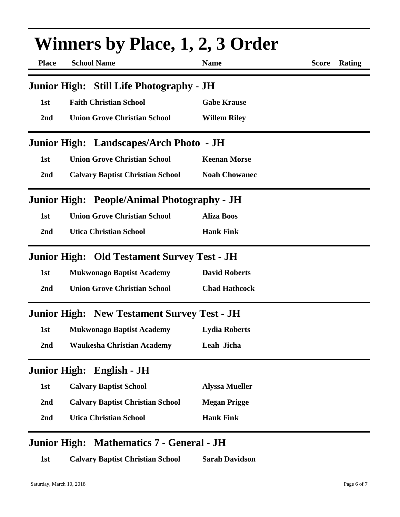| <b>Place</b>        | <b>Winners by Place, 1, 2, 3 Order</b><br><b>School Name</b> | <b>Name</b>           | <b>Rating</b><br><b>Score</b> |
|---------------------|--------------------------------------------------------------|-----------------------|-------------------------------|
|                     | Junior High: Still Life Photography - JH                     |                       |                               |
| 1st                 | <b>Faith Christian School</b>                                | <b>Gabe Krause</b>    |                               |
| 2nd                 | <b>Union Grove Christian School</b>                          | <b>Willem Riley</b>   |                               |
|                     | Junior High: Landscapes/Arch Photo - JH                      |                       |                               |
| 1st                 | <b>Union Grove Christian School</b>                          | <b>Keenan Morse</b>   |                               |
| 2nd                 | <b>Calvary Baptist Christian School</b>                      | <b>Noah Chowanec</b>  |                               |
|                     | Junior High: People/Animal Photography - JH                  |                       |                               |
| 1st                 | <b>Union Grove Christian School</b>                          | <b>Aliza Boos</b>     |                               |
| 2nd                 | <b>Utica Christian School</b>                                | <b>Hank Fink</b>      |                               |
|                     | <b>Junior High: Old Testament Survey Test - JH</b>           |                       |                               |
| 1st                 | <b>Mukwonago Baptist Academy</b>                             | <b>David Roberts</b>  |                               |
| 2 <sub>nd</sub>     | <b>Union Grove Christian School</b>                          | <b>Chad Hathcock</b>  |                               |
|                     | <b>Junior High: New Testament Survey Test - JH</b>           |                       |                               |
| 1st                 | <b>Mukwonago Baptist Academy</b>                             | <b>Lydia Roberts</b>  |                               |
| 2nd                 | <b>Waukesha Christian Academy</b>                            | Leah Jicha            |                               |
| <b>Junior High:</b> | English - JH                                                 |                       |                               |
| 1st                 | <b>Calvary Baptist School</b>                                | <b>Alyssa Mueller</b> |                               |
| 2nd                 | <b>Calvary Baptist Christian School</b>                      | <b>Megan Prigge</b>   |                               |
| 2 <sub>nd</sub>     | <b>Utica Christian School</b>                                | <b>Hank Fink</b>      |                               |
|                     | Junior High: Mathematics 7 - General - JH                    |                       |                               |

**1st Calvary Baptist Christian School Sarah Davidson**